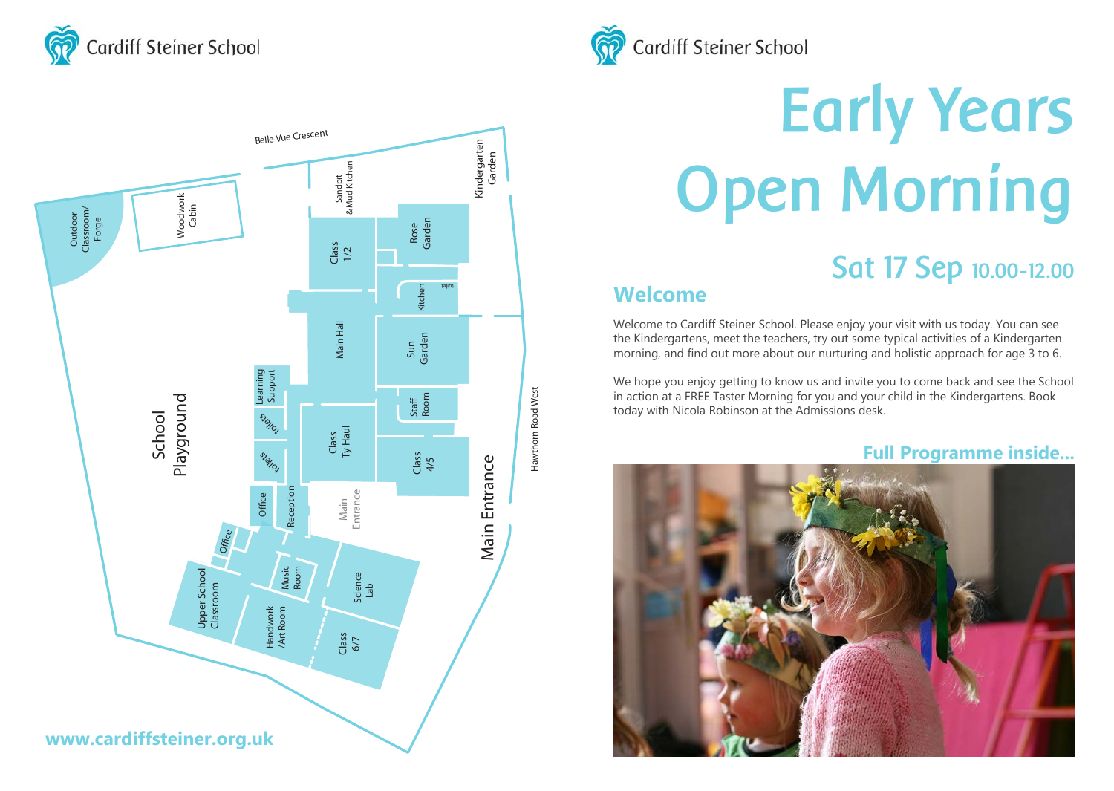





# **Early Years Open Morning**

## **Sat 17 Sep 10.00-12.00**

## **Welcome**

Welcome to Cardiff Steiner School. Please enjoy your visit with us today. You can see the Kindergartens, meet the teachers, try out some typical activities of a Kindergarten morning, and find out more about our nurturing and holistic approach for age 3 to 6.

We hope you enjoy getting to know us and invite you to come back and see the School in action at a FREE Taster Morning for you and your child in the Kindergartens. Book today with Nicola Robinson at the Admissions desk.

### **Full Programme inside...**